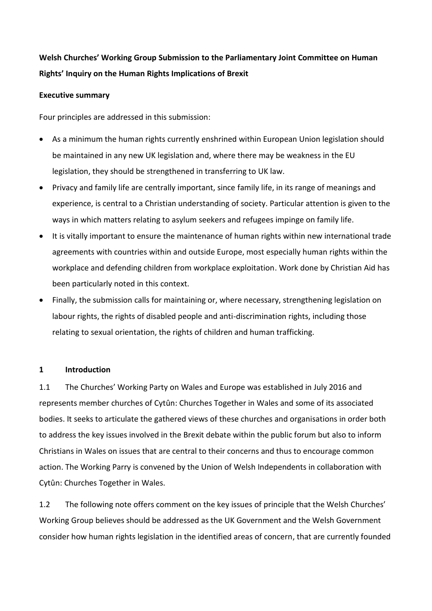# **Welsh Churches' Working Group Submission to the Parliamentary Joint Committee on Human Rights' Inquiry on the Human Rights Implications of Brexit**

## **Executive summary**

Four principles are addressed in this submission:

- As a minimum the human rights currently enshrined within European Union legislation should be maintained in any new UK legislation and, where there may be weakness in the EU legislation, they should be strengthened in transferring to UK law.
- Privacy and family life are centrally important, since family life, in its range of meanings and experience, is central to a Christian understanding of society. Particular attention is given to the ways in which matters relating to asylum seekers and refugees impinge on family life.
- It is vitally important to ensure the maintenance of human rights within new international trade agreements with countries within and outside Europe, most especially human rights within the workplace and defending children from workplace exploitation. Work done by Christian Aid has been particularly noted in this context.
- Finally, the submission calls for maintaining or, where necessary, strengthening legislation on labour rights, the rights of disabled people and anti-discrimination rights, including those relating to sexual orientation, the rights of children and human trafficking.

## **1 Introduction**

1.1 The Churches' Working Party on Wales and Europe was established in July 2016 and represents member churches of Cytûn: Churches Together in Wales and some of its associated bodies. It seeks to articulate the gathered views of these churches and organisations in order both to address the key issues involved in the Brexit debate within the public forum but also to inform Christians in Wales on issues that are central to their concerns and thus to encourage common action. The Working Parry is convened by the Union of Welsh Independents in collaboration with Cytûn: Churches Together in Wales.

1.2 The following note offers comment on the key issues of principle that the Welsh Churches' Working Group believes should be addressed as the UK Government and the Welsh Government consider how human rights legislation in the identified areas of concern, that are currently founded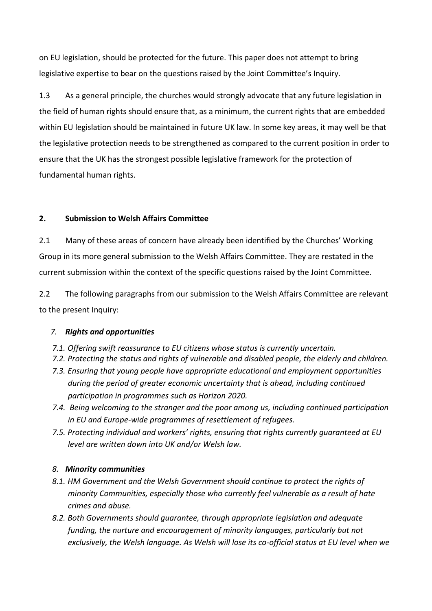on EU legislation, should be protected for the future. This paper does not attempt to bring legislative expertise to bear on the questions raised by the Joint Committee's Inquiry.

1.3 As a general principle, the churches would strongly advocate that any future legislation in the field of human rights should ensure that, as a minimum, the current rights that are embedded within EU legislation should be maintained in future UK law. In some key areas, it may well be that the legislative protection needs to be strengthened as compared to the current position in order to ensure that the UK has the strongest possible legislative framework for the protection of fundamental human rights.

# **2. Submission to Welsh Affairs Committee**

2.1 Many of these areas of concern have already been identified by the Churches' Working Group in its more general submission to the Welsh Affairs Committee. They are restated in the current submission within the context of the specific questions raised by the Joint Committee.

2.2 The following paragraphs from our submission to the Welsh Affairs Committee are relevant to the present Inquiry:

# *7. Rights and opportunities*

- *7.1. Offering swift reassurance to EU citizens whose status is currently uncertain.*
- *7.2. Protecting the status and rights of vulnerable and disabled people, the elderly and children.*
- *7.3. Ensuring that young people have appropriate educational and employment opportunities during the period of greater economic uncertainty that is ahead, including continued participation in programmes such as Horizon 2020.*
- *7.4. Being welcoming to the stranger and the poor among us, including continued participation in EU and Europe-wide programmes of resettlement of refugees.*
- *7.5. Protecting individual and workers' rights, ensuring that rights currently guaranteed at EU level are written down into UK and/or Welsh law.*

# *8. Minority communities*

- *8.1. HM Government and the Welsh Government should continue to protect the rights of minority Communities, especially those who currently feel vulnerable as a result of hate crimes and abuse.*
- *8.2. Both Governments should guarantee, through appropriate legislation and adequate funding, the nurture and encouragement of minority languages, particularly but not exclusively, the Welsh language. As Welsh will lose its co-official status at EU level when we*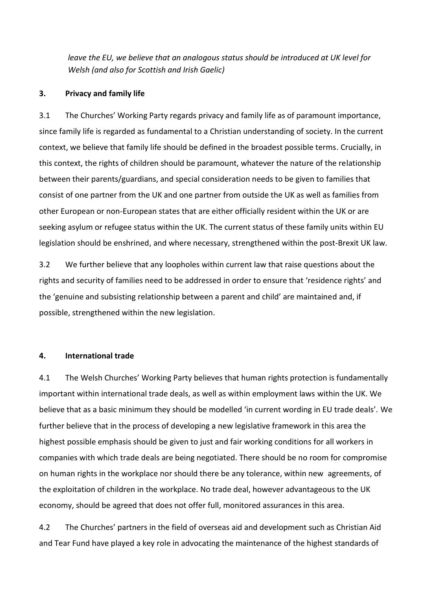*leave the EU, we believe that an analogous status should be introduced at UK level for Welsh (and also for Scottish and Irish Gaelic)*

#### **3. Privacy and family life**

3.1 The Churches' Working Party regards privacy and family life as of paramount importance, since family life is regarded as fundamental to a Christian understanding of society. In the current context, we believe that family life should be defined in the broadest possible terms. Crucially, in this context, the rights of children should be paramount, whatever the nature of the relationship between their parents/guardians, and special consideration needs to be given to families that consist of one partner from the UK and one partner from outside the UK as well as families from other European or non-European states that are either officially resident within the UK or are seeking asylum or refugee status within the UK. The current status of these family units within EU legislation should be enshrined, and where necessary, strengthened within the post-Brexit UK law.

3.2 We further believe that any loopholes within current law that raise questions about the rights and security of families need to be addressed in order to ensure that 'residence rights' and the 'genuine and subsisting relationship between a parent and child' are maintained and, if possible, strengthened within the new legislation.

#### **4. International trade**

4.1 The Welsh Churches' Working Party believes that human rights protection is fundamentally important within international trade deals, as well as within employment laws within the UK. We believe that as a basic minimum they should be modelled 'in current wording in EU trade deals'. We further believe that in the process of developing a new legislative framework in this area the highest possible emphasis should be given to just and fair working conditions for all workers in companies with which trade deals are being negotiated. There should be no room for compromise on human rights in the workplace nor should there be any tolerance, within new agreements, of the exploitation of children in the workplace. No trade deal, however advantageous to the UK economy, should be agreed that does not offer full, monitored assurances in this area.

4.2 The Churches' partners in the field of overseas aid and development such as Christian Aid and Tear Fund have played a key role in advocating the maintenance of the highest standards of